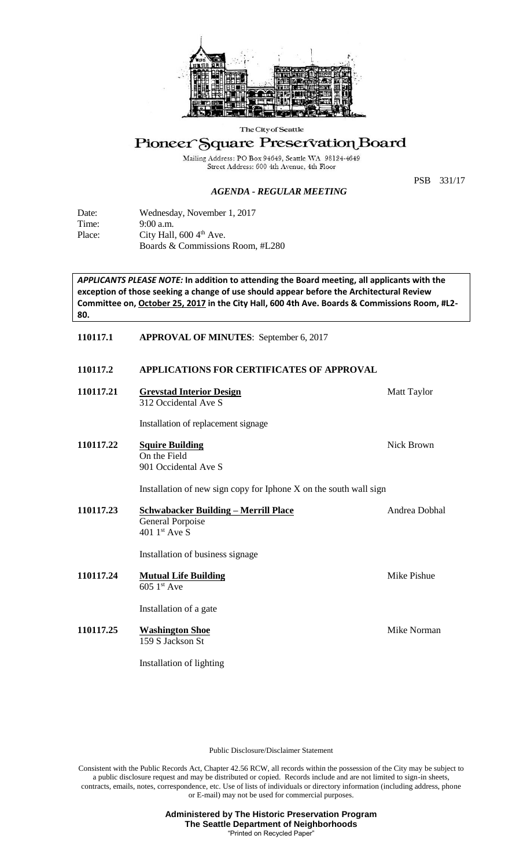

The City of Seattle

# Pioneer Square Preservation Board

Mailing Address: PO Box 94649, Seattle WA 98124-4649<br>Street Address: 600 4th Avenue, 4th Floor

### *AGENDA - REGULAR MEETING*

PSB 331/17

| Date:  | Wednesday, November 1, 2017          |
|--------|--------------------------------------|
| Time:  | $9:00$ a.m.                          |
| Place: | City Hall, $600\,4^{\text{th}}$ Ave. |
|        | Boards & Commissions Room, #L280     |

*APPLICANTS PLEASE NOTE:* **In addition to attending the Board meeting, all applicants with the exception of those seeking a change of use should appear before the Architectural Review Committee on, October 25, 2017 in the City Hall, 600 4th Ave. Boards & Commissions Room, #L2- 80.**

# **110117.1 APPROVAL OF MINUTES**: September 6, 2017

# **110117.2 APPLICATIONS FOR CERTIFICATES OF APPROVAL**

| 110117.21 | <b>Grevstad Interior Design</b><br>312 Occidental Ave S                             | <b>Matt Taylor</b> |  |
|-----------|-------------------------------------------------------------------------------------|--------------------|--|
|           | Installation of replacement signage                                                 |                    |  |
| 110117.22 | <b>Squire Building</b><br>On the Field<br>901 Occidental Ave S                      | Nick Brown         |  |
|           | Installation of new sign copy for Iphone X on the south wall sign                   |                    |  |
| 110117.23 | <u> Schwabacker Building – Merrill Place</u><br>General Porpoise<br>401 $1st$ Ave S | Andrea Dobhal      |  |
|           | Installation of business signage                                                    |                    |  |
| 110117.24 | <b>Mutual Life Building</b><br>$605$ 1st Ave                                        | Mike Pishue        |  |
|           | Installation of a gate                                                              |                    |  |
| 110117.25 | <b>Washington Shoe</b><br>159 S Jackson St                                          | Mike Norman        |  |

Installation of lighting

Public Disclosure/Disclaimer Statement

Consistent with the Public Records Act, Chapter 42.56 RCW, all records within the possession of the City may be subject to a public disclosure request and may be distributed or copied. Records include and are not limited to sign-in sheets, contracts, emails, notes, correspondence, etc. Use of lists of individuals or directory information (including address, phone or E-mail) may not be used for commercial purposes.

> **Administered by The Historic Preservation Program The Seattle Department of Neighborhoods** "Printed on Recycled Paper"